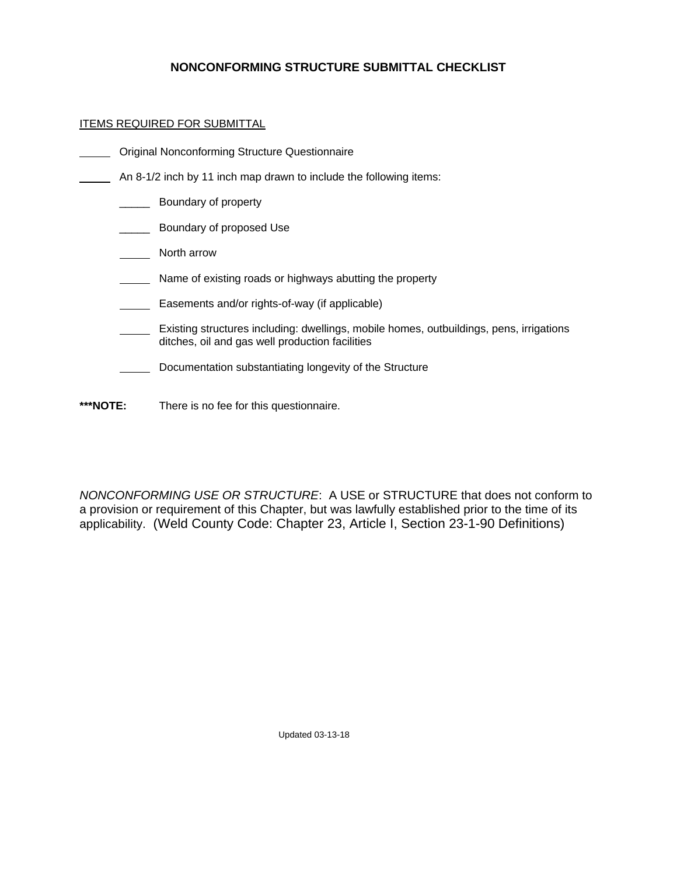# **NONCONFORMING STRUCTURE SUBMITTAL CHECKLIST**

## **ITEMS REQUIRED FOR SUBMITTAL**

- **Combinal Nonconforming Structure Questionnaire**
- An 8-1/2 inch by 11 inch map drawn to include the following items:
	- \_\_\_\_\_ Boundary of property
	- **EXECUTE:** Boundary of proposed Use
	- North arrow
	- Name of existing roads or highways abutting the property
	- **Easements and/or rights-of-way (if applicable)**
	- **Existing structures including: dwellings, mobile homes, outbuildings, pens, irrigations** ditches, oil and gas well production facilities
	- **Documentation substantiating longevity of the Structure**
- **\*\*\*NOTE:** There is no fee for this questionnaire.

*NONCONFORMING USE OR STRUCTURE*: A USE or STRUCTURE that does not conform to a provision or requirement of this Chapter, but was lawfully established prior to the time of its applicability. (Weld County Code: Chapter 23, Article I, Section 23-1-90 Definitions)

Updated 03-13-18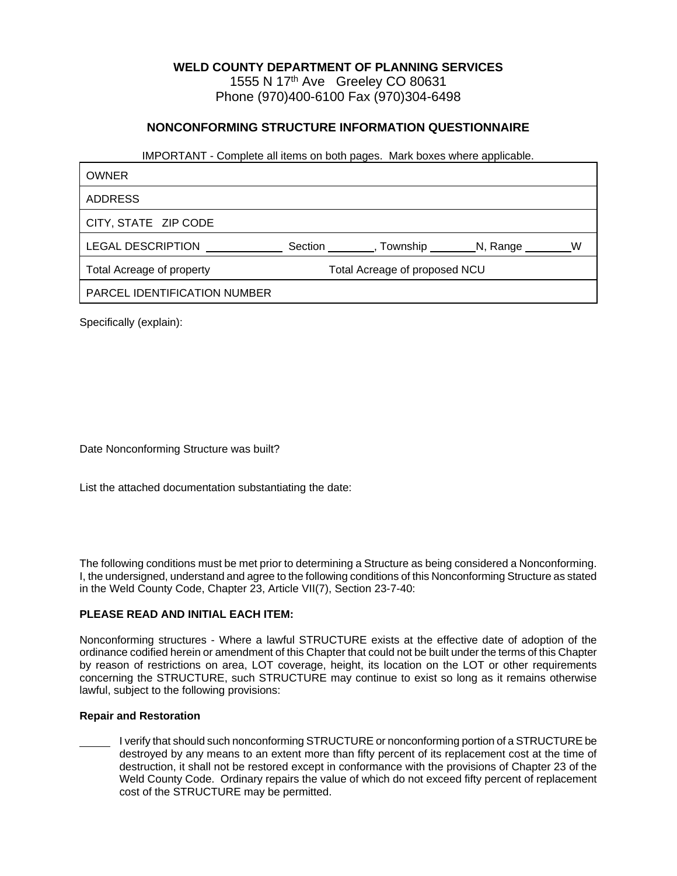### **WELD COUNTY DEPARTMENT OF PLANNING SERVICES**

1555 N 17th Ave Greeley CO 80631 Phone (970)400-6100 Fax (970)304-6498

## **NONCONFORMING STRUCTURE INFORMATION QUESTIONNAIRE**

IMPORTANT - Complete all items on both pages. Mark boxes where applicable.

| <b>OWNER</b>                 |                               |                  |          |   |  |  |
|------------------------------|-------------------------------|------------------|----------|---|--|--|
| <b>ADDRESS</b>               |                               |                  |          |   |  |  |
| CITY, STATE ZIP CODE         |                               |                  |          |   |  |  |
| <b>LEGAL DESCRIPTION</b>     | Section                       | Township _______ | N, Range | w |  |  |
| Total Acreage of property    | Total Acreage of proposed NCU |                  |          |   |  |  |
| PARCEL IDENTIFICATION NUMBER |                               |                  |          |   |  |  |

Specifically (explain):

Date Nonconforming Structure was built?

List the attached documentation substantiating the date:

The following conditions must be met prior to determining a Structure as being considered a Nonconforming. I, the undersigned, understand and agree to the following conditions of this Nonconforming Structure as stated in the Weld County Code, Chapter 23, Article VII(7), Section 23-7-40:

### **PLEASE READ AND INITIAL EACH ITEM:**

Nonconforming structures - Where a lawful STRUCTURE exists at the effective date of adoption of the ordinance codified herein or amendment of this Chapter that could not be built under the terms of this Chapter by reason of restrictions on area, LOT coverage, height, its location on the LOT or other requirements concerning the STRUCTURE, such STRUCTURE may continue to exist so long as it remains otherwise lawful, subject to the following provisions:

#### **Repair and Restoration**

 I verify that should such nonconforming STRUCTURE or nonconforming portion of a STRUCTURE be destroyed by any means to an extent more than fifty percent of its replacement cost at the time of destruction, it shall not be restored except in conformance with the provisions of Chapter 23 of the Weld County Code. Ordinary repairs the value of which do not exceed fifty percent of replacement cost of the STRUCTURE may be permitted.